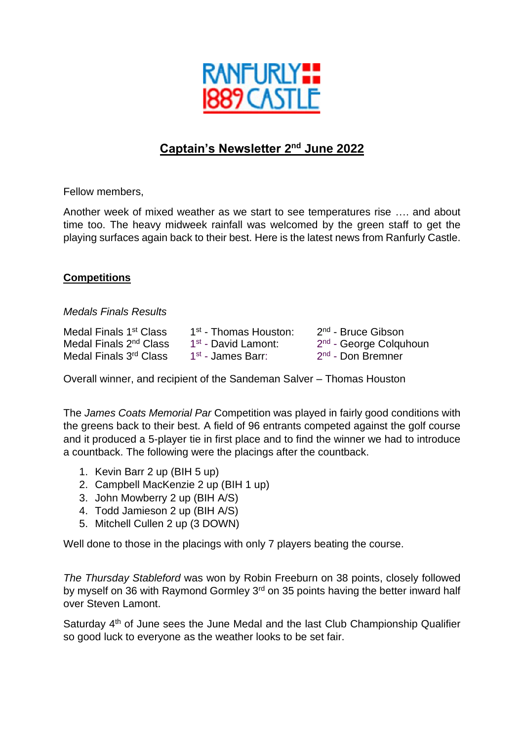

# **Captain's Newsletter 2 nd June 2022**

Fellow members,

Another week of mixed weather as we start to see temperatures rise …. and about time too. The heavy midweek rainfall was welcomed by the green staff to get the playing surfaces again back to their best. Here is the latest news from Ranfurly Castle.

#### **Competitions**

#### *Medals Finals Results*

| Medal Finals 1st Class             | 1 <sup>st</sup> - Thomas Houston: | 2 <sup>nd</sup> - Bruce Gibson     |
|------------------------------------|-----------------------------------|------------------------------------|
| Medal Finals 2 <sup>nd</sup> Class | 1 <sup>st</sup> - David Lamont:   | 2 <sup>nd</sup> - George Colquhoun |
| Medal Finals 3 <sup>rd</sup> Class | 1 <sup>st</sup> - James Barr:     | 2 <sup>nd</sup> - Don Bremner      |

Overall winner, and recipient of the Sandeman Salver – Thomas Houston

The *James Coats Memorial Par* Competition was played in fairly good conditions with the greens back to their best. A field of 96 entrants competed against the golf course and it produced a 5-player tie in first place and to find the winner we had to introduce a countback. The following were the placings after the countback.

- 1. Kevin Barr 2 up (BIH 5 up)
- 2. Campbell MacKenzie 2 up (BIH 1 up)
- 3. John Mowberry 2 up (BIH A/S)
- 4. Todd Jamieson 2 up (BIH A/S)
- 5. Mitchell Cullen 2 up (3 DOWN)

Well done to those in the placings with only 7 players beating the course.

*The Thursday Stableford* was won by Robin Freeburn on 38 points, closely followed by myself on 36 with Raymond Gormley 3<sup>rd</sup> on 35 points having the better inward half over Steven Lamont.

Saturday 4<sup>th</sup> of June sees the June Medal and the last Club Championship Qualifier so good luck to everyone as the weather looks to be set fair.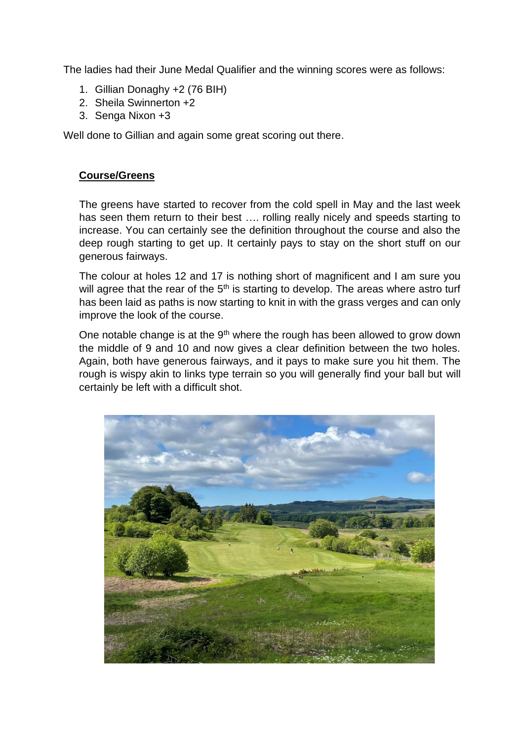The ladies had their June Medal Qualifier and the winning scores were as follows:

- 1. Gillian Donaghy +2 (76 BIH)
- 2. Sheila Swinnerton +2
- 3. Senga Nixon +3

Well done to Gillian and again some great scoring out there.

## **Course/Greens**

The greens have started to recover from the cold spell in May and the last week has seen them return to their best …. rolling really nicely and speeds starting to increase. You can certainly see the definition throughout the course and also the deep rough starting to get up. It certainly pays to stay on the short stuff on our generous fairways.

The colour at holes 12 and 17 is nothing short of magnificent and I am sure you will agree that the rear of the  $5<sup>th</sup>$  is starting to develop. The areas where astro turf has been laid as paths is now starting to knit in with the grass verges and can only improve the look of the course.

One notable change is at the  $9<sup>th</sup>$  where the rough has been allowed to grow down the middle of 9 and 10 and now gives a clear definition between the two holes. Again, both have generous fairways, and it pays to make sure you hit them. The rough is wispy akin to links type terrain so you will generally find your ball but will certainly be left with a difficult shot.

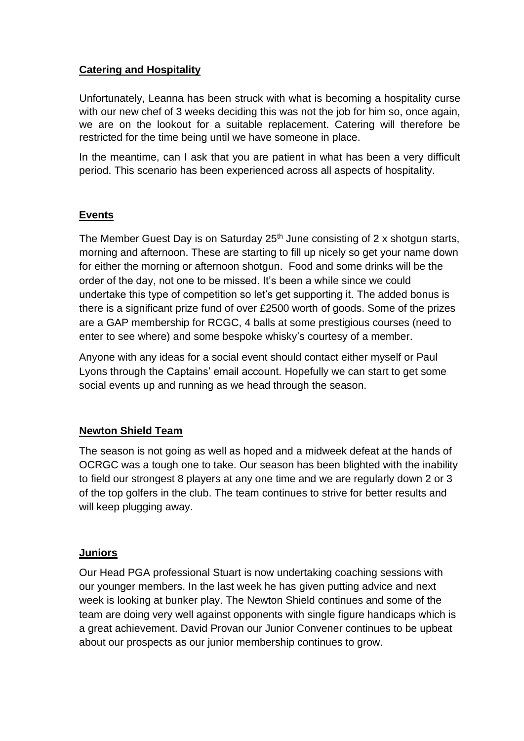## **Catering and Hospitality**

Unfortunately, Leanna has been struck with what is becoming a hospitality curse with our new chef of 3 weeks deciding this was not the job for him so, once again, we are on the lookout for a suitable replacement. Catering will therefore be restricted for the time being until we have someone in place.

In the meantime, can I ask that you are patient in what has been a very difficult period. This scenario has been experienced across all aspects of hospitality.

# **Events**

The Member Guest Day is on Saturday 25<sup>th</sup> June consisting of 2 x shotgun starts, morning and afternoon. These are starting to fill up nicely so get your name down for either the morning or afternoon shotgun. Food and some drinks will be the order of the day, not one to be missed. It's been a while since we could undertake this type of competition so let's get supporting it. The added bonus is there is a significant prize fund of over £2500 worth of goods. Some of the prizes are a GAP membership for RCGC, 4 balls at some prestigious courses (need to enter to see where) and some bespoke whisky's courtesy of a member.

Anyone with any ideas for a social event should contact either myself or Paul Lyons through the Captains' email account. Hopefully we can start to get some social events up and running as we head through the season.

# **Newton Shield Team**

The season is not going as well as hoped and a midweek defeat at the hands of OCRGC was a tough one to take. Our season has been blighted with the inability to field our strongest 8 players at any one time and we are regularly down 2 or 3 of the top golfers in the club. The team continues to strive for better results and will keep plugging away.

#### **Juniors**

Our Head PGA professional Stuart is now undertaking coaching sessions with our younger members. In the last week he has given putting advice and next week is looking at bunker play. The Newton Shield continues and some of the team are doing very well against opponents with single figure handicaps which is a great achievement. David Provan our Junior Convener continues to be upbeat about our prospects as our junior membership continues to grow.